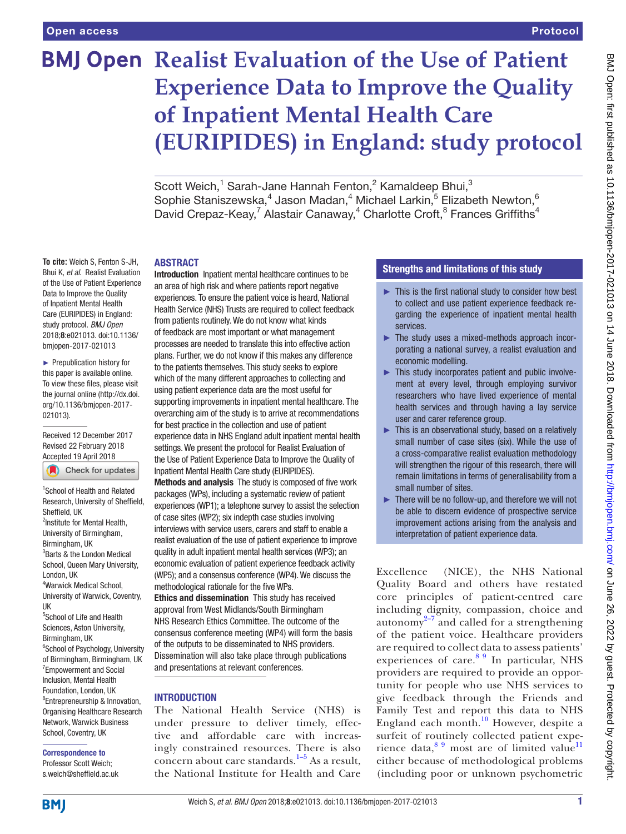# **BMJ Open Realist Evaluation of the Use of Patient Experience Data to Improve the Quality of Inpatient Mental Health Care (EURIPIDES) in England: study protocol**

Scott Weich,<sup>1</sup> Sarah-Jane Hannah Fenton,<sup>2</sup> Kamaldeep Bhui,<sup>3</sup> Sophie Staniszewska, $^4$  Jason Madan, $^4$  Michael Larkin, $^5$  Elizabeth Newton, $^6$ David Crepaz-Keay,<sup>7</sup> Alastair Canaway,<sup>4</sup> Charlotte Croft,<sup>8</sup> Frances Griffiths<sup>4</sup>

# **ABSTRACT**

**To cite:** Weich S, Fenton S-JH, Bhui K, *et al*. Realist Evaluation of the Use of Patient Experience Data to Improve the Quality of Inpatient Mental Health Care (EURIPIDES) in England: study protocol. *BMJ Open* 2018;8:e021013. doi:10.1136/ bmjopen-2017-021013

► Prepublication history for this paper is available online. To view these files, please visit the journal online [\(http://dx.doi.](http://dx.doi.org/10.1136/bmjopen-2017-021013) [org/10.1136/bmjopen-2017-](http://dx.doi.org/10.1136/bmjopen-2017-021013) [021013\)](http://dx.doi.org/10.1136/bmjopen-2017-021013).

Received 12 December 2017 Revised 22 February 2018 [Accepted 19 April 2018](http://crossmark.crossref.org/dialog/?doi=10.1136/bmjopen-2017-021013&domain=pdf&date_stamp=2018-06-12)

Check for updates 1 School of Health and Related

Research, University of Sheffield, Sheffield, UK <sup>2</sup>Institute for Mental Health, University of Birmingham, Birmingham, UK 3 Barts & the London Medical School, Queen Mary University, London, UK 4 Warwick Medical School, University of Warwick, Coventry, UK 5 School of Life and Health Sciences, Aston University, Birmingham, UK 6 School of Psychology, University of Birmingham, Birmingham, UK <sup>7</sup> Empowerment and Social Inclusion, Mental Health Foundation, London, UK 8 Entrepreneurship & Innovation, Organising Healthcare Research Network, Warwick Business School, Coventry, UK

Correspondence to Professor Scott Weich; s.weich@sheffield.ac.uk Introduction Inpatient mental healthcare continues to be an area of high risk and where patients report negative experiences. To ensure the patient voice is heard, National Health Service (NHS) Trusts are required to collect feedback from patients routinely. We do not know what kinds of feedback are most important or what management processes are needed to translate this into effective action plans. Further, we do not know if this makes any difference to the patients themselves. This study seeks to explore which of the many different approaches to collecting and using patient experience data are the most useful for supporting improvements in inpatient mental healthcare. The overarching aim of the study is to arrive at recommendations for best practice in the collection and use of patient experience data in NHS England adult inpatient mental health settings. We present the protocol for Realist Evaluation of the Use of Patient Experience Data to Improve the Quality of Inpatient Mental Health Care study (EURIPIDES). Methods and analysis The study is composed of five work packages (WPs), including a systematic review of patient

experiences (WP1); a telephone survey to assist the selection of case sites (WP2); six indepth case studies involving interviews with service users, carers and staff to enable a realist evaluation of the use of patient experience to improve quality in adult inpatient mental health services (WP3); an economic evaluation of patient experience feedback activity (WP5); and a consensus conference (WP4). We discuss the methodological rationale for the five WPs.

Ethics and dissemination This study has received approval from West Midlands/South Birmingham NHS Research Ethics Committee. The outcome of the consensus conference meeting (WP4) will form the basis of the outputs to be disseminated to NHS providers. Dissemination will also take place through publications and presentations at relevant conferences.

#### **INTRODUCTION**

The National Health Service (NHS) is under pressure to deliver timely, effective and affordable care with increasingly constrained resources. There is also concern about care standards.<sup>[1–5](#page-7-0)</sup> As a result, the National Institute for Health and Care

# Strengths and limitations of this study

- $\blacktriangleright$  This is the first national study to consider how best to collect and use patient experience feedback regarding the experience of inpatient mental health services.
- ► The study uses a mixed-methods approach incorporating a national survey, a realist evaluation and economic modelling.
- ► This study incorporates patient and public involvement at every level, through employing survivor researchers who have lived experience of mental health services and through having a lay service user and carer reference group.
- ► This is an observational study, based on a relatively small number of case sites (six). While the use of a cross-comparative realist evaluation methodology will strengthen the rigour of this research, there will remain limitations in terms of generalisability from a small number of sites.
- ► There will be no follow-up, and therefore we will not be able to discern evidence of prospective service improvement actions arising from the analysis and interpretation of patient experience data.

Excellence (NICE), the NHS National Quality Board and others have restated core principles of patient-centred care including dignity, compassion, choice and autonomy<sup>2–7</sup> and called for a strengthening of the patient voice. Healthcare providers are required to collect data to assess patients' experiences of care. $89$  In particular, NHS providers are required to provide an opportunity for people who use NHS services to give feedback through the Friends and Family Test and report this data to NHS England each month.<sup>10</sup> However, despite a surfeit of routinely collected patient experience data,  $89 \text{ most are of limited value}$ <sup>[11](#page-7-4)</sup> either because of methodological problems (including poor or unknown psychometric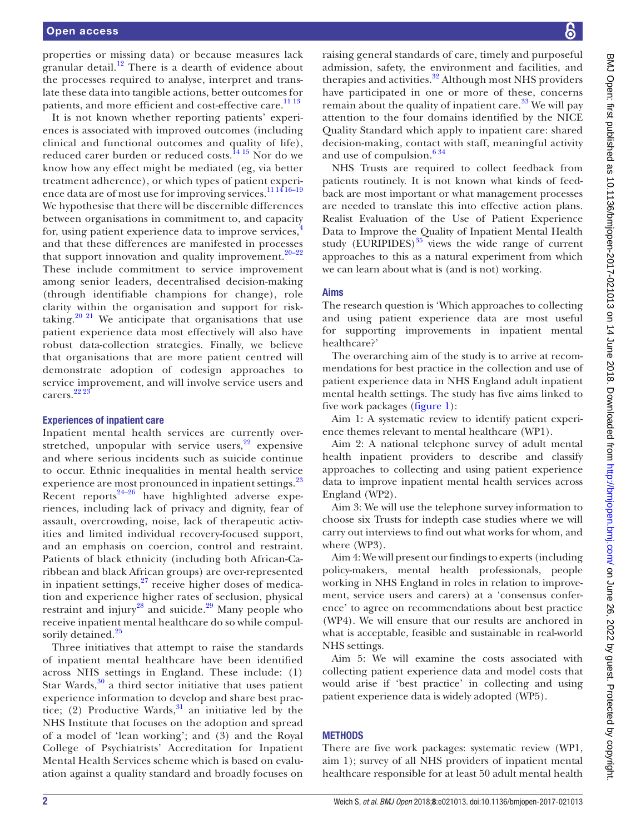properties or missing data) or because measures lack granular detail.<sup>[12](#page-7-5)</sup> There is a dearth of evidence about the processes required to analyse, interpret and translate these data into tangible actions, better outcomes for patients, and more efficient and cost-effective care.<sup>[11 13](#page-7-4)</sup>

It is not known whether reporting patients' experiences is associated with improved outcomes (including clinical and functional outcomes and quality of life), reduced carer burden or reduced costs.[14 15](#page-7-6) Nor do we know how any effect might be mediated (eg, via better treatment adherence), or which types of patient experience data are of most use for improving services.<sup>11 14 16-19</sup> We hypothesise that there will be discernible differences between organisations in commitment to, and capacity for, using patient experience data to improve services,[4](#page-7-7) and that these differences are manifested in processes that support innovation and quality improvement.<sup>20-22</sup> These include commitment to service improvement among senior leaders, decentralised decision-making (through identifiable champions for change), role clarity within the organisation and support for risktaking.<sup>20 21</sup> We anticipate that organisations that use patient experience data most effectively will also have robust data-collection strategies. Finally, we believe that organisations that are more patient centred will demonstrate adoption of codesign approaches to service improvement, and will involve service users and carers.[22 23](#page-8-1)

#### Experiences of inpatient care

Inpatient mental health services are currently overstretched, unpopular with service users,  $2^2$  expensive and where serious incidents such as suicide continue to occur. Ethnic inequalities in mental health service experience are most pronounced in inpatient settings.<sup>[23](#page-8-2)</sup> Recent reports $4-26$  have highlighted adverse experiences, including lack of privacy and dignity, fear of assault, overcrowding, noise, lack of therapeutic activities and limited individual recovery-focused support, and an emphasis on coercion, control and restraint. Patients of black ethnicity (including both African-Caribbean and black African groups) are over-represented in inpatient settings, $27$  receive higher doses of medication and experience higher rates of seclusion, physical restraint and injury<sup>28</sup> and suicide.<sup>[29](#page-8-6)</sup> Many people who receive inpatient mental healthcare do so while compul-sorily detained.<sup>[25](#page-8-7)</sup>

Three initiatives that attempt to raise the standards of inpatient mental healthcare have been identified across NHS settings in England. These include: (1) Star Wards, $30^{\circ}$  a third sector initiative that uses patient experience information to develop and share best practice; (2) Productive Wards, $31$  an initiative led by the NHS Institute that focuses on the adoption and spread of a model of 'lean working'; and (3) and the Royal College of Psychiatrists' Accreditation for Inpatient Mental Health Services scheme which is based on evaluation against a quality standard and broadly focuses on

raising general standards of care, timely and purposeful admission, safety, the environment and facilities, and therapies and activities.<sup>[32](#page-8-10)</sup> Although most NHS providers have participated in one or more of these, concerns remain about the quality of inpatient care. $33$  We will pay attention to the four domains identified by the NICE Quality Standard which apply to inpatient care: shared decision-making, contact with staff, meaningful activity and use of compulsion.<sup>634</sup>

NHS Trusts are required to collect feedback from patients routinely. It is not known what kinds of feedback are most important or what management processes are needed to translate this into effective action plans. Realist Evaluation of the Use of Patient Experience Data to Improve the Quality of Inpatient Mental Health study (EURIPIDES) $35$  views the wide range of current approaches to this as a natural experiment from which we can learn about what is (and is not) working.

#### Aims

The research question is 'Which approaches to collecting and using patient experience data are most useful for supporting improvements in inpatient mental healthcare?'

The overarching aim of the study is to arrive at recommendations for best practice in the collection and use of patient experience data in NHS England adult inpatient mental health settings. The study has five aims linked to five work packages [\(figure](#page-2-0) 1):

Aim 1: A systematic review to identify patient experience themes relevant to mental healthcare (WP1).

Aim 2: A national telephone survey of adult mental health inpatient providers to describe and classify approaches to collecting and using patient experience data to improve inpatient mental health services across England (WP2).

Aim 3: We will use the telephone survey information to choose six Trusts for indepth case studies where we will carry out interviews to find out what works for whom, and where (WP3).

Aim 4: We will present our findings to experts (including policy-makers, mental health professionals, people working in NHS England in roles in relation to improvement, service users and carers) at a 'consensus conference' to agree on recommendations about best practice (WP4). We will ensure that our results are anchored in what is acceptable, feasible and sustainable in real-world NHS settings.

Aim 5: We will examine the costs associated with collecting patient experience data and model costs that would arise if 'best practice' in collecting and using patient experience data is widely adopted (WP5).

#### **METHODS**

There are five work packages: systematic review (WP1, aim 1); survey of all NHS providers of inpatient mental healthcare responsible for at least 50 adult mental health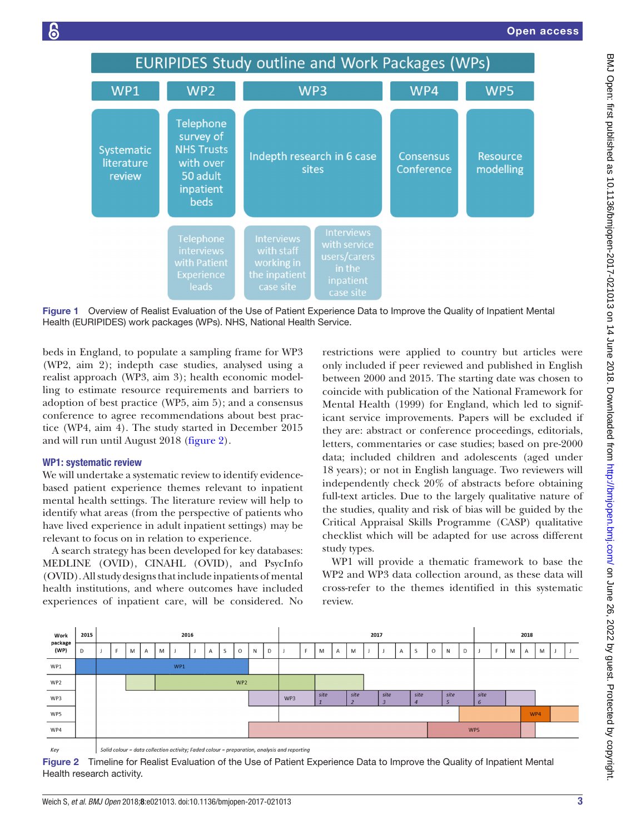

<span id="page-2-0"></span>Figure 1 Overview of Realist Evaluation of the Use of Patient Experience Data to Improve the Quality of Inpatient Mental Health (EURIPIDES) work packages (WPs). NHS, National Health Service.

beds in England, to populate a sampling frame for WP3 (WP2, aim 2); indepth case studies, analysed using a realist approach (WP3, aim 3); health economic modelling to estimate resource requirements and barriers to adoption of best practice (WP5, aim 5); and a consensus conference to agree recommendations about best practice (WP4, aim 4). The study started in December 2015 and will run until August 2018 [\(figure](#page-2-1) 2).

### WP1: systematic review

We will undertake a systematic review to identify evidencebased patient experience themes relevant to inpatient mental health settings. The literature review will help to identify what areas (from the perspective of patients who have lived experience in adult inpatient settings) may be relevant to focus on in relation to experience.

A search strategy has been developed for key databases: MEDLINE (OVID), CINAHL (OVID), and PsycInfo (OVID). All study designs that include inpatients of mental health institutions, and where outcomes have included experiences of inpatient care, will be considered. No

restrictions were applied to country but articles were only included if peer reviewed and published in English between 2000 and 2015. The starting date was chosen to coincide with publication of the National Framework for Mental Health (1999) for England, which led to significant service improvements. Papers will be excluded if they are: abstract or conference proceedings, editorials, letters, commentaries or case studies; based on pre-2000 data; included children and adolescents (aged under 18 years); or not in English language. Two reviewers will independently check 20% of abstracts before obtaining full-text articles. Due to the largely qualitative nature of the studies, quality and risk of bias will be guided by the Critical Appraisal Skills Programme (CASP) qualitative checklist which will be adapted for use across different study types.

WP1 will provide a thematic framework to base the WP2 and WP3 data collection around, as these data will cross-refer to the themes identified in this systematic review.



<span id="page-2-1"></span>Solid colour = data collection activity; Faded colour = preparation, analysis and reporting Key

Figure 2 Timeline for Realist Evaluation of the Use of Patient Experience Data to Improve the Quality of Inpatient Mental Health research activity.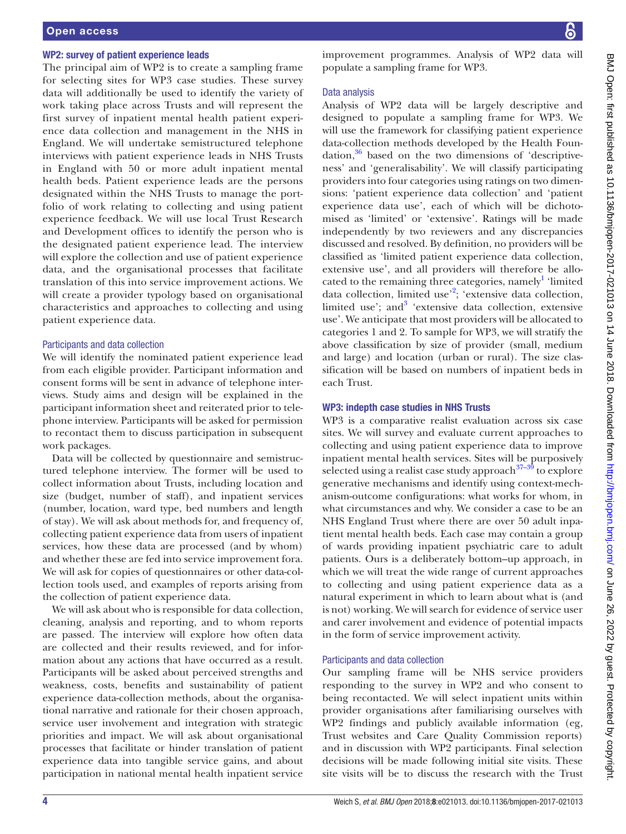# Open access

#### WP2: survey of patient experience leads

The principal aim of WP2 is to create a sampling frame for selecting sites for WP3 case studies. These survey data will additionally be used to identify the variety of work taking place across Trusts and will represent the first survey of inpatient mental health patient experience data collection and management in the NHS in England. We will undertake semistructured telephone interviews with patient experience leads in NHS Trusts in England with 50 or more adult inpatient mental health beds. Patient experience leads are the persons designated within the NHS Trusts to manage the portfolio of work relating to collecting and using patient experience feedback. We will use local Trust Research and Development offices to identify the person who is the designated patient experience lead. The interview will explore the collection and use of patient experience data, and the organisational processes that facilitate translation of this into service improvement actions. We will create a provider typology based on organisational characteristics and approaches to collecting and using patient experience data.

#### Participants and data collection

We will identify the nominated patient experience lead from each eligible provider. Participant information and consent forms will be sent in advance of telephone interviews. Study aims and design will be explained in the participant information sheet and reiterated prior to telephone interview. Participants will be asked for permission to recontact them to discuss participation in subsequent work packages.

Data will be collected by questionnaire and semistructured telephone interview. The former will be used to collect information about Trusts, including location and size (budget, number of staff), and inpatient services (number, location, ward type, bed numbers and length of stay). We will ask about methods for, and frequency of, collecting patient experience data from users of inpatient services, how these data are processed (and by whom) and whether these are fed into service improvement fora. We will ask for copies of questionnaires or other data-collection tools used, and examples of reports arising from the collection of patient experience data.

We will ask about who is responsible for data collection, cleaning, analysis and reporting, and to whom reports are passed. The interview will explore how often data are collected and their results reviewed, and for information about any actions that have occurred as a result. Participants will be asked about perceived strengths and weakness, costs, benefits and sustainability of patient experience data-collection methods, about the organisational narrative and rationale for their chosen approach, service user involvement and integration with strategic priorities and impact. We will ask about organisational processes that facilitate or hinder translation of patient experience data into tangible service gains, and about participation in national mental health inpatient service

improvement programmes. Analysis of WP2 data will populate a sampling frame for WP3.

### Data analysis

Analysis of WP2 data will be largely descriptive and designed to populate a sampling frame for WP3. We will use the framework for classifying patient experience data-collection methods developed by the Health Foundation, $36$  based on the two dimensions of 'descriptiveness' and 'generalisability'. We will classify participating providers into four categories using ratings on two dimensions: 'patient experience data collection' and 'patient experience data use', each of which will be dichotomised as 'limited' or 'extensive'. Ratings will be made independently by two reviewers and any discrepancies discussed and resolved. By definition, no providers will be classified as 'limited patient experience data collection, extensive use', and all providers will therefore be allo-cated to the remaining three categories, namely<sup>[1](#page-7-0)</sup> 'limited data collection, limited use<sup>'[2](#page-7-1)</sup>; 'extensive data collection, limited use'; and<sup>[3](#page-7-9)</sup> 'extensive data collection, extensive use'. We anticipate that most providers will be allocated to categories 1 and 2. To sample for WP3, we will stratify the above classification by size of provider (small, medium and large) and location (urban or rural). The size classification will be based on numbers of inpatient beds in each Trust.

#### WP3: indepth case studies in NHS Trusts

WP3 is a comparative realist evaluation across six case sites. We will survey and evaluate current approaches to collecting and using patient experience data to improve inpatient mental health services. Sites will be purposively selected using a realist case study approach  $37-39$  to explore generative mechanisms and identify using context-mechanism-outcome configurations: what works for whom, in what circumstances and why. We consider a case to be an NHS England Trust where there are over 50 adult inpatient mental health beds. Each case may contain a group of wards providing inpatient psychiatric care to adult patients. Ours is a deliberately bottom–up approach, in which we will treat the wide range of current approaches to collecting and using patient experience data as a natural experiment in which to learn about what is (and is not) working. We will search for evidence of service user and carer involvement and evidence of potential impacts in the form of service improvement activity.

#### Participants and data collection

Our sampling frame will be NHS service providers responding to the survey in WP2 and who consent to being recontacted. We will select inpatient units within provider organisations after familiarising ourselves with WP2 findings and publicly available information (eg, Trust websites and Care Quality Commission reports) and in discussion with WP2 participants. Final selection decisions will be made following initial site visits. These site visits will be to discuss the research with the Trust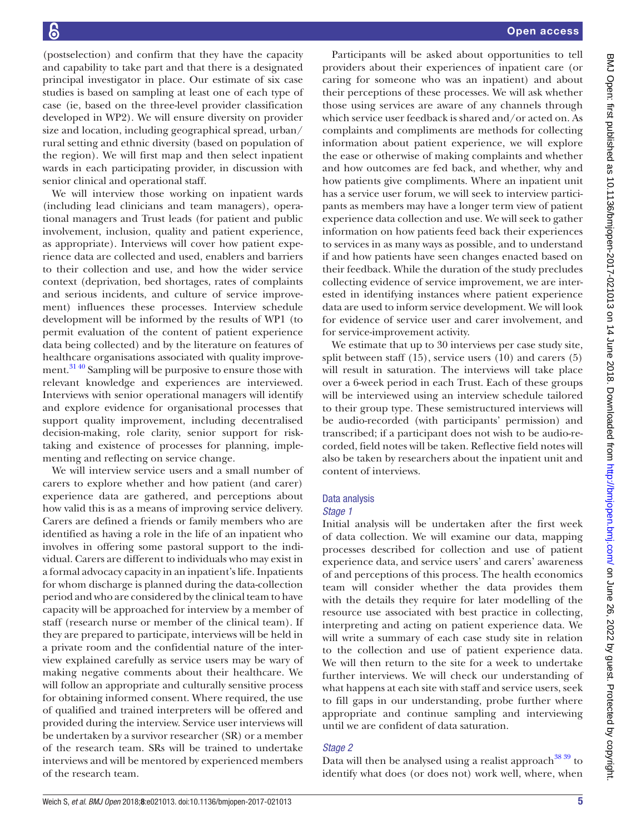(postselection) and confirm that they have the capacity and capability to take part and that there is a designated principal investigator in place. Our estimate of six case studies is based on sampling at least one of each type of case (ie, based on the three-level provider classification developed in WP2). We will ensure diversity on provider size and location, including geographical spread, urban/ rural setting and ethnic diversity (based on population of the region). We will first map and then select inpatient wards in each participating provider, in discussion with senior clinical and operational staff.

We will interview those working on inpatient wards (including lead clinicians and team managers), operational managers and Trust leads (for patient and public involvement, inclusion, quality and patient experience, as appropriate). Interviews will cover how patient experience data are collected and used, enablers and barriers to their collection and use, and how the wider service context (deprivation, bed shortages, rates of complaints and serious incidents, and culture of service improvement) influences these processes. Interview schedule development will be informed by the results of WP1 (to permit evaluation of the content of patient experience data being collected) and by the literature on features of healthcare organisations associated with quality improvement.<sup>3140</sup> Sampling will be purposive to ensure those with relevant knowledge and experiences are interviewed. Interviews with senior operational managers will identify and explore evidence for organisational processes that support quality improvement, including decentralised decision-making, role clarity, senior support for risktaking and existence of processes for planning, implementing and reflecting on service change.

We will interview service users and a small number of carers to explore whether and how patient (and carer) experience data are gathered, and perceptions about how valid this is as a means of improving service delivery. Carers are defined a friends or family members who are identified as having a role in the life of an inpatient who involves in offering some pastoral support to the individual. Carers are different to individuals who may exist in a formal advocacy capacity in an inpatient's life. Inpatients for whom discharge is planned during the data-collection period and who are considered by the clinical team to have capacity will be approached for interview by a member of staff (research nurse or member of the clinical team). If they are prepared to participate, interviews will be held in a private room and the confidential nature of the interview explained carefully as service users may be wary of making negative comments about their healthcare. We will follow an appropriate and culturally sensitive process for obtaining informed consent. Where required, the use of qualified and trained interpreters will be offered and provided during the interview. Service user interviews will be undertaken by a survivor researcher (SR) or a member of the research team. SRs will be trained to undertake interviews and will be mentored by experienced members of the research team.

Participants will be asked about opportunities to tell providers about their experiences of inpatient care (or caring for someone who was an inpatient) and about their perceptions of these processes. We will ask whether those using services are aware of any channels through which service user feedback is shared and/or acted on. As complaints and compliments are methods for collecting information about patient experience, we will explore the ease or otherwise of making complaints and whether and how outcomes are fed back, and whether, why and how patients give compliments. Where an inpatient unit has a service user forum, we will seek to interview participants as members may have a longer term view of patient experience data collection and use. We will seek to gather information on how patients feed back their experiences to services in as many ways as possible, and to understand if and how patients have seen changes enacted based on their feedback. While the duration of the study precludes collecting evidence of service improvement, we are interested in identifying instances where patient experience data are used to inform service development. We will look for evidence of service user and carer involvement, and for service-improvement activity.

We estimate that up to 30 interviews per case study site, split between staff (15), service users (10) and carers (5) will result in saturation. The interviews will take place over a 6-week period in each Trust. Each of these groups will be interviewed using an interview schedule tailored to their group type. These semistructured interviews will be audio-recorded (with participants' permission) and transcribed; if a participant does not wish to be audio-recorded, field notes will be taken. Reflective field notes will also be taken by researchers about the inpatient unit and content of interviews.

# Data analysis

#### *Stage 1*

Initial analysis will be undertaken after the first week of data collection. We will examine our data, mapping processes described for collection and use of patient experience data, and service users' and carers' awareness of and perceptions of this process. The health economics team will consider whether the data provides them with the details they require for later modelling of the resource use associated with best practice in collecting, interpreting and acting on patient experience data. We will write a summary of each case study site in relation to the collection and use of patient experience data. We will then return to the site for a week to undertake further interviews. We will check our understanding of what happens at each site with staff and service users, seek to fill gaps in our understanding, probe further where appropriate and continue sampling and interviewing until we are confident of data saturation.

### *Stage 2*

Data will then be analysed using a realist approach  $38\frac{39}{10}$  to identify what does (or does not) work well, where, when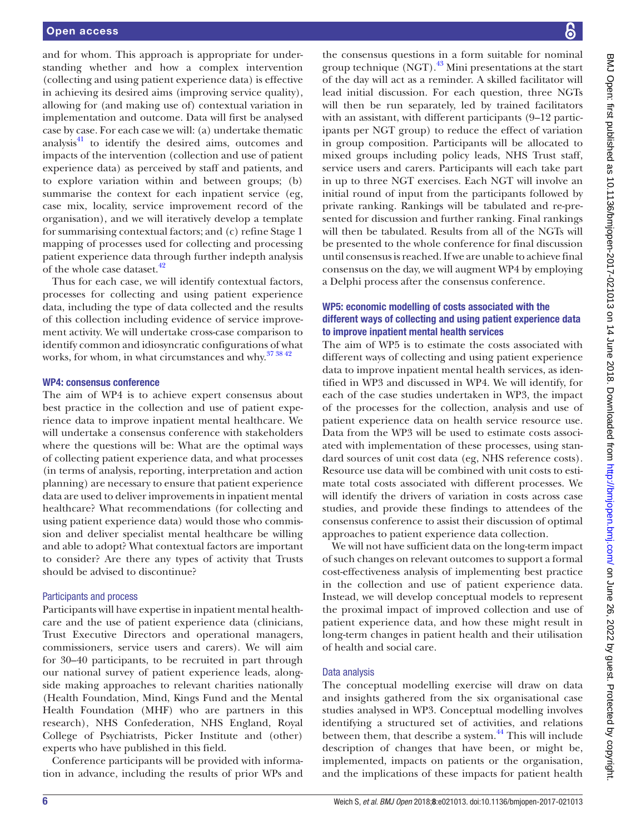and for whom. This approach is appropriate for understanding whether and how a complex intervention (collecting and using patient experience data) is effective in achieving its desired aims (improving service quality), allowing for (and making use of) contextual variation in implementation and outcome. Data will first be analysed case by case. For each case we will: (a) undertake thematic analysis<sup>41</sup> to identify the desired aims, outcomes and impacts of the intervention (collection and use of patient experience data) as perceived by staff and patients, and to explore variation within and between groups; (b) summarise the context for each inpatient service (eg, case mix, locality, service improvement record of the organisation), and we will iteratively develop a template for summarising contextual factors; and (c) refine Stage 1 mapping of processes used for collecting and processing patient experience data through further indepth analysis of the whole case dataset.<sup>[42](#page-8-17)</sup>

Thus for each case, we will identify contextual factors, processes for collecting and using patient experience data, including the type of data collected and the results of this collection including evidence of service improvement activity. We will undertake cross-case comparison to identify common and idiosyncratic configurations of what works, for whom, in what circumstances and why.<sup>[37 38 42](#page-8-14)</sup>

#### WP4: consensus conference

The aim of WP4 is to achieve expert consensus about best practice in the collection and use of patient experience data to improve inpatient mental healthcare. We will undertake a consensus conference with stakeholders where the questions will be: What are the optimal ways of collecting patient experience data, and what processes (in terms of analysis, reporting, interpretation and action planning) are necessary to ensure that patient experience data are used to deliver improvements in inpatient mental healthcare? What recommendations (for collecting and using patient experience data) would those who commission and deliver specialist mental healthcare be willing and able to adopt? What contextual factors are important to consider? Are there any types of activity that Trusts should be advised to discontinue?

#### Participants and process

Participants will have expertise in inpatient mental healthcare and the use of patient experience data (clinicians, Trust Executive Directors and operational managers, commissioners, service users and carers). We will aim for 30–40 participants, to be recruited in part through our national survey of patient experience leads, alongside making approaches to relevant charities nationally (Health Foundation, Mind, Kings Fund and the Mental Health Foundation (MHF) who are partners in this research), NHS Confederation, NHS England, Royal College of Psychiatrists, Picker Institute and (other) experts who have published in this field.

Conference participants will be provided with information in advance, including the results of prior WPs and

the consensus questions in a form suitable for nominal group technique  $(NGT)$ .<sup>[43](#page-8-18)</sup> Mini presentations at the start of the day will act as a reminder. A skilled facilitator will lead initial discussion. For each question, three NGTs will then be run separately, led by trained facilitators with an assistant, with different participants (9–12 participants per NGT group) to reduce the effect of variation in group composition. Participants will be allocated to mixed groups including policy leads, NHS Trust staff, service users and carers. Participants will each take part in up to three NGT exercises. Each NGT will involve an initial round of input from the participants followed by private ranking. Rankings will be tabulated and re-presented for discussion and further ranking. Final rankings will then be tabulated. Results from all of the NGTs will be presented to the whole conference for final discussion until consensus is reached. If we are unable to achieve final consensus on the day, we will augment WP4 by employing a Delphi process after the consensus conference.

# WP5: economic modelling of costs associated with the different ways of collecting and using patient experience data to improve inpatient mental health services

The aim of WP5 is to estimate the costs associated with different ways of collecting and using patient experience data to improve inpatient mental health services, as identified in WP3 and discussed in WP4. We will identify, for each of the case studies undertaken in WP3, the impact of the processes for the collection, analysis and use of patient experience data on health service resource use. Data from the WP3 will be used to estimate costs associated with implementation of these processes, using standard sources of unit cost data (eg, NHS reference costs). Resource use data will be combined with unit costs to estimate total costs associated with different processes. We will identify the drivers of variation in costs across case studies, and provide these findings to attendees of the consensus conference to assist their discussion of optimal approaches to patient experience data collection.

We will not have sufficient data on the long-term impact of such changes on relevant outcomes to support a formal cost-effectiveness analysis of implementing best practice in the collection and use of patient experience data. Instead, we will develop conceptual models to represent the proximal impact of improved collection and use of patient experience data, and how these might result in long-term changes in patient health and their utilisation of health and social care.

#### Data analysis

The conceptual modelling exercise will draw on data and insights gathered from the six organisational case studies analysed in WP3. Conceptual modelling involves identifying a structured set of activities, and relations between them, that describe a system.<sup>44</sup> This will include description of changes that have been, or might be, implemented, impacts on patients or the organisation, and the implications of these impacts for patient health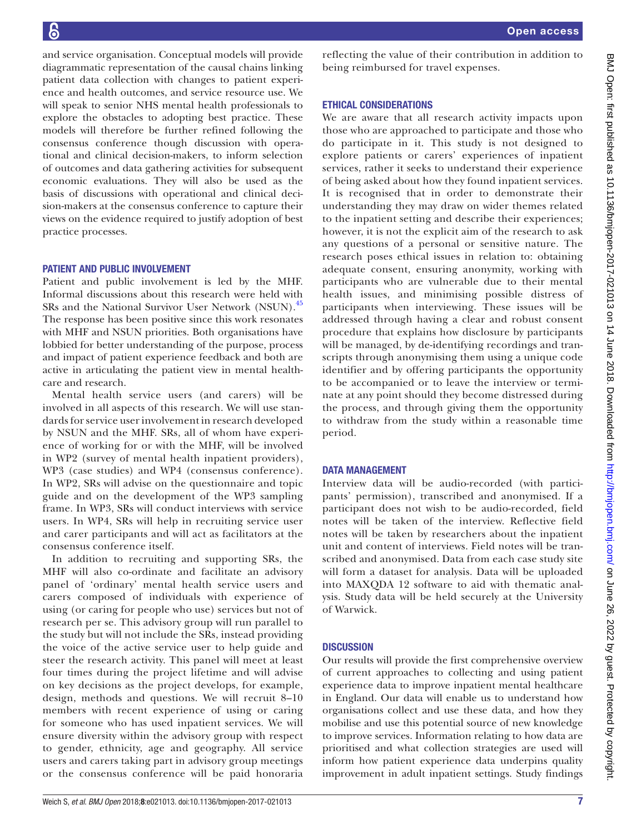and service organisation. Conceptual models will provide diagrammatic representation of the causal chains linking patient data collection with changes to patient experience and health outcomes, and service resource use. We will speak to senior NHS mental health professionals to explore the obstacles to adopting best practice. These models will therefore be further refined following the consensus conference though discussion with operational and clinical decision-makers, to inform selection of outcomes and data gathering activities for subsequent economic evaluations. They will also be used as the basis of discussions with operational and clinical decision-makers at the consensus conference to capture their views on the evidence required to justify adoption of best practice processes.

# Patient and public involvement

Patient and public involvement is led by the MHF. Informal discussions about this research were held with SRs and the National Survivor User Network (NSUN).<sup>45</sup> The response has been positive since this work resonates with MHF and NSUN priorities. Both organisations have lobbied for better understanding of the purpose, process and impact of patient experience feedback and both are active in articulating the patient view in mental healthcare and research.

Mental health service users (and carers) will be involved in all aspects of this research. We will use standards for service user involvement in research developed by NSUN and the MHF. SRs, all of whom have experience of working for or with the MHF, will be involved in WP2 (survey of mental health inpatient providers), WP3 (case studies) and WP4 (consensus conference). In WP2, SRs will advise on the questionnaire and topic guide and on the development of the WP3 sampling frame. In WP3, SRs will conduct interviews with service users. In WP4, SRs will help in recruiting service user and carer participants and will act as facilitators at the consensus conference itself.

In addition to recruiting and supporting SRs, the MHF will also co-ordinate and facilitate an advisory panel of 'ordinary' mental health service users and carers composed of individuals with experience of using (or caring for people who use) services but not of research per se. This advisory group will run parallel to the study but will not include the SRs, instead providing the voice of the active service user to help guide and steer the research activity. This panel will meet at least four times during the project lifetime and will advise on key decisions as the project develops, for example, design, methods and questions. We will recruit 8–10 members with recent experience of using or caring for someone who has used inpatient services. We will ensure diversity within the advisory group with respect to gender, ethnicity, age and geography. All service users and carers taking part in advisory group meetings or the consensus conference will be paid honoraria

reflecting the value of their contribution in addition to being reimbursed for travel expenses.

# Ethical considerations

We are aware that all research activity impacts upon those who are approached to participate and those who do participate in it. This study is not designed to explore patients or carers' experiences of inpatient services, rather it seeks to understand their experience of being asked about how they found inpatient services. It is recognised that in order to demonstrate their understanding they may draw on wider themes related to the inpatient setting and describe their experiences; however, it is not the explicit aim of the research to ask any questions of a personal or sensitive nature. The research poses ethical issues in relation to: obtaining adequate consent, ensuring anonymity, working with participants who are vulnerable due to their mental health issues, and minimising possible distress of participants when interviewing. These issues will be addressed through having a clear and robust consent procedure that explains how disclosure by participants will be managed, by de-identifying recordings and transcripts through anonymising them using a unique code identifier and by offering participants the opportunity to be accompanied or to leave the interview or terminate at any point should they become distressed during the process, and through giving them the opportunity to withdraw from the study within a reasonable time period.

# DATA MANAGEMENT

Interview data will be audio-recorded (with participants' permission), transcribed and anonymised. If a participant does not wish to be audio-recorded, field notes will be taken of the interview. Reflective field notes will be taken by researchers about the inpatient unit and content of interviews. Field notes will be transcribed and anonymised. Data from each case study site will form a dataset for analysis. Data will be uploaded into MAXQDA 12 software to aid with thematic analysis. Study data will be held securely at the University of Warwick.

# **DISCUSSION**

Our results will provide the first comprehensive overview of current approaches to collecting and using patient experience data to improve inpatient mental healthcare in England. Our data will enable us to understand how organisations collect and use these data, and how they mobilise and use this potential source of new knowledge to improve services. Information relating to how data are prioritised and what collection strategies are used will inform how patient experience data underpins quality improvement in adult inpatient settings. Study findings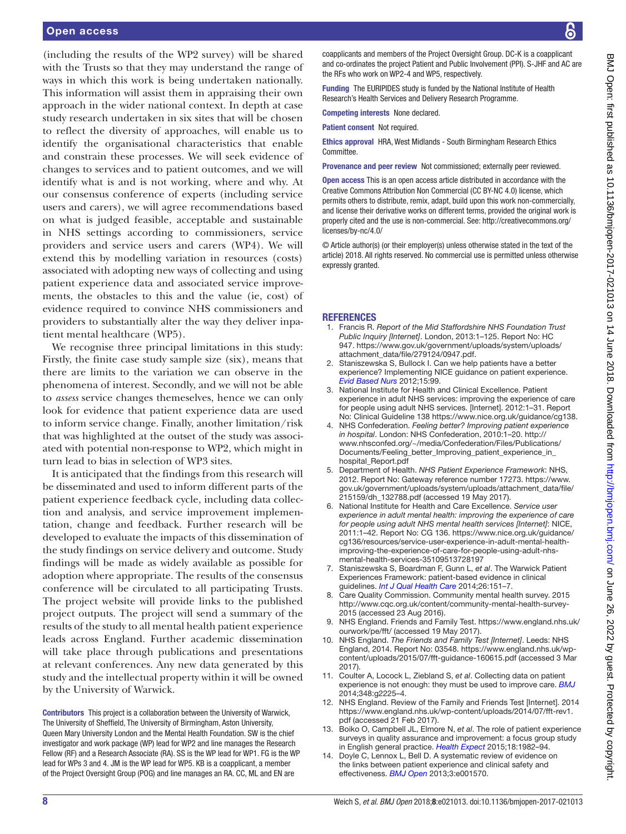(including the results of the WP2 survey) will be shared with the Trusts so that they may understand the range of ways in which this work is being undertaken nationally. This information will assist them in appraising their own approach in the wider national context. In depth at case study research undertaken in six sites that will be chosen to reflect the diversity of approaches, will enable us to identify the organisational characteristics that enable and constrain these processes. We will seek evidence of changes to services and to patient outcomes, and we will identify what is and is not working, where and why. At our consensus conference of experts (including service users and carers), we will agree recommendations based on what is judged feasible, acceptable and sustainable in NHS settings according to commissioners, service providers and service users and carers (WP4). We will extend this by modelling variation in resources (costs) associated with adopting new ways of collecting and using patient experience data and associated service improvements, the obstacles to this and the value (ie, cost) of evidence required to convince NHS commissioners and providers to substantially alter the way they deliver inpatient mental healthcare (WP5).

We recognise three principal limitations in this study: Firstly, the finite case study sample size (six), means that there are limits to the variation we can observe in the phenomena of interest. Secondly, and we will not be able to *assess* service changes themeselves, hence we can only look for evidence that patient experience data are used to inform service change. Finally, another limitation/risk that was highlighted at the outset of the study was associated with potential non-response to WP2, which might in turn lead to bias in selection of WP3 sites.

It is anticipated that the findings from this research will be disseminated and used to inform different parts of the patient experience feedback cycle, including data collection and analysis, and service improvement implementation, change and feedback. Further research will be developed to evaluate the impacts of this dissemination of the study findings on service delivery and outcome. Study findings will be made as widely available as possible for adoption where appropriate. The results of the consensus conference will be circulated to all participating Trusts. The project website will provide links to the published project outputs. The project will send a summary of the results of the study to all mental health patient experience leads across England. Further academic dissemination will take place through publications and presentations at relevant conferences. Any new data generated by this study and the intellectual property within it will be owned by the University of Warwick.

Contributors This project is a collaboration between the University of Warwick, The University of Sheffield, The University of Birmingham, Aston University, Queen Mary University London and the Mental Health Foundation. SW is the chief investigator and work package (WP) lead for WP2 and line manages the Research Fellow (RF) and a Research Associate (RA). SS is the WP lead for WP1. FG is the WP lead for WPs 3 and 4. JM is the WP lead for WP5. KB is a coapplicant, a member of the Project Oversight Group (POG) and line manages an RA. CC, ML and EN are

coapplicants and members of the Project Oversight Group. DC-K is a coapplicant and co-ordinates the project Patient and Public Involvement (PPI). S-JHF and AC are the RFs who work on WP2-4 and WP5, respectively.

Funding The EURIPIDES study is funded by the National Institute of Health Research's Health Services and Delivery Research Programme.

Competing interests None declared.

Patient consent Not required.

Ethics approval HRA, West Midlands - South Birmingham Research Ethics Committee.

Provenance and peer review Not commissioned; externally peer reviewed.

Open access This is an open access article distributed in accordance with the Creative Commons Attribution Non Commercial (CC BY-NC 4.0) license, which permits others to distribute, remix, adapt, build upon this work non-commercially, and license their derivative works on different terms, provided the original work is properly cited and the use is non-commercial. See: [http://creativecommons.org/](http://creativecommons.org/licenses/by-nc/4.0/) [licenses/by-nc/4.0/](http://creativecommons.org/licenses/by-nc/4.0/)

© Article author(s) (or their employer(s) unless otherwise stated in the text of the article) 2018. All rights reserved. No commercial use is permitted unless otherwise expressly granted.

#### **REFERENCES**

- <span id="page-7-0"></span>1. Francis R. *Report of the Mid Staffordshire NHS Foundation Trust Public Inquiry [Internet]*. London, 2013:1–125. Report No: HC 947. [https://www.gov.uk/government/uploads/system/uploads/](https://www.gov.uk/government/uploads/system/uploads/attachment_data/file/279124/0947.pdf) [attachment\\_data/file/279124/0947.pdf](https://www.gov.uk/government/uploads/system/uploads/attachment_data/file/279124/0947.pdf).
- <span id="page-7-1"></span>2. Staniszewska S, Bullock I. Can we help patients have a better experience? Implementing NICE guidance on patient experience. *[Evid Based Nurs](http://dx.doi.org/10.1136/eb-2012-100988)* 2012;15:99.
- <span id="page-7-9"></span>3. National Institute for Health and Clinical Excellence. Patient experience in adult NHS services: improving the experience of care for people using adult NHS services. [Internet]. 2012:1–31. Report No: Clinical Guideline 138 [https://www.nice.org.uk/guidance/cg138.](https://www.nice.org.uk/guidance/cg138)
- <span id="page-7-7"></span>4. NHS Confederation. *Feeling better? Improving patient experience in hospital*. London: NHS Confederation, 2010:1–20. [http://](http://www.nhsconfed.org/~/media/Confederation/Files/Publications/Documents/Feeling_better_Improving_patient_experience_in_hospital_Report.pdf) [www.nhsconfed.org/~/media/Confederation/Files/Publications/](http://www.nhsconfed.org/~/media/Confederation/Files/Publications/Documents/Feeling_better_Improving_patient_experience_in_hospital_Report.pdf) [Documents/Feeling\\_better\\_Improving\\_patient\\_experience\\_in\\_](http://www.nhsconfed.org/~/media/Confederation/Files/Publications/Documents/Feeling_better_Improving_patient_experience_in_hospital_Report.pdf) [hospital\\_Report.pdf](http://www.nhsconfed.org/~/media/Confederation/Files/Publications/Documents/Feeling_better_Improving_patient_experience_in_hospital_Report.pdf)
- 5. Department of Health. *NHS Patient Experience Framework*: NHS, 2012. Report No: Gateway reference number 17273. [https://www.](https://www.gov.uk/government/uploads/system/uploads/attachment_data/file/215159/dh_132788.pdf) [gov.uk/government/uploads/system/uploads/attachment\\_data/file/](https://www.gov.uk/government/uploads/system/uploads/attachment_data/file/215159/dh_132788.pdf) [215159/dh\\_132788.pdf](https://www.gov.uk/government/uploads/system/uploads/attachment_data/file/215159/dh_132788.pdf) (accessed 19 May 2017).
- <span id="page-7-8"></span>6. National Institute for Health and Care Excellence. *Service user experience in adult mental health: improving the experience of care for people using adult NHS mental health services [Internet]*: NICE, 2011:1–42. Report No: CG 136. [https://www.nice.org.uk/guidance/](https://www.nice.org.uk/guidance/cg136/resources/service-user-experience-in-adult-mental-health-improving-the-experience-of-care-for-people-using-adult-nhs-mental-health-services-35109513728197) [cg136/resources/service-user-experience-in-adult-mental-health](https://www.nice.org.uk/guidance/cg136/resources/service-user-experience-in-adult-mental-health-improving-the-experience-of-care-for-people-using-adult-nhs-mental-health-services-35109513728197)[improving-the-experience-of-care-for-people-using-adult-nhs](https://www.nice.org.uk/guidance/cg136/resources/service-user-experience-in-adult-mental-health-improving-the-experience-of-care-for-people-using-adult-nhs-mental-health-services-35109513728197)[mental-health-services-35109513728197](https://www.nice.org.uk/guidance/cg136/resources/service-user-experience-in-adult-mental-health-improving-the-experience-of-care-for-people-using-adult-nhs-mental-health-services-35109513728197)
- 7. Staniszewska S, Boardman F, Gunn L, *et al*. The Warwick Patient Experiences Framework: patient-based evidence in clinical guidelines. *[Int J Qual Health Care](http://dx.doi.org/10.1093/intqhc/mzu003)* 2014;26:151–7.
- <span id="page-7-2"></span>Care Quality Commission. Community mental health survey. 2015 [http://www.cqc.org.uk/content/community-mental-health-survey-](http://www.cqc.org.uk/content/community-mental-health-survey-2015)[2015](http://www.cqc.org.uk/content/community-mental-health-survey-2015) (accessed 23 Aug 2016).
- NHS England. Friends and Family Test. [https://www.england.nhs.uk/](https://www.england.nhs.uk/ourwork/pe/fft/) [ourwork/pe/fft/](https://www.england.nhs.uk/ourwork/pe/fft/) (accessed 19 May 2017).
- <span id="page-7-3"></span>10. NHS England. *The Friends and Family Test [Internet]*. Leeds: NHS England, 2014. Report No: 03548. [https://www.england.nhs.uk/wp](https://www.england.nhs.uk/wp-content/uploads/2015/07/fft-guidance-160615.pdf)[content/uploads/2015/07/fft-guidance-160615.pdf](https://www.england.nhs.uk/wp-content/uploads/2015/07/fft-guidance-160615.pdf) (accessed 3 Mar 2017).
- <span id="page-7-4"></span>11. Coulter A, Locock L, Ziebland S, *et al*. Collecting data on patient experience is not enough: they must be used to improve care. *[BMJ](http://dx.doi.org/10.1136/bmj.g2225)* 2014;348:g2225–4.
- <span id="page-7-5"></span>12. NHS England. Review of the Family and Friends Test [Internet]. 2014 [https://www.england.nhs.uk/wp-content/uploads/2014/07/fft-rev1.](https://www.england.nhs.uk/wp-content/uploads/2014/07/fft-rev1.pdf) [pdf](https://www.england.nhs.uk/wp-content/uploads/2014/07/fft-rev1.pdf) (accessed 21 Feb 2017).
- 13. Boiko O, Campbell JL, Elmore N, *et al*. The role of patient experience surveys in quality assurance and improvement: a focus group study in English general practice. *[Health Expect](http://dx.doi.org/10.1111/hex.12298)* 2015;18:1982–94.
- <span id="page-7-6"></span>14. Doyle C, Lennox L, Bell D. A systematic review of evidence on the links between patient experience and clinical safety and effectiveness. *[BMJ Open](http://dx.doi.org/10.1136/bmjopen-2012-001570)* 2013;3:e001570.